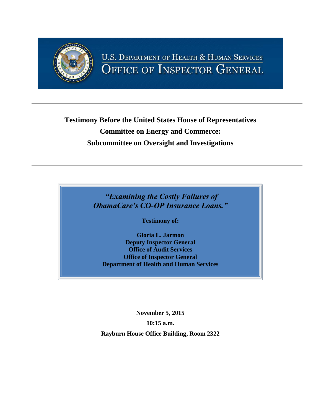

## **Testimony Before the United States House of Representatives Committee on Energy and Commerce: Subcommittee on Oversight and Investigations**

*"Examining the Costly Failures of ObamaCare's CO-OP Insurance Loans."*

**Testimony of:**

**Gloria L. Jarmon Deputy Inspector General Office of Audit Services Office of Inspector General Department of Health and Human Services**

**November 5, 2015 10:15 a.m. Rayburn House Office Building, Room 2322**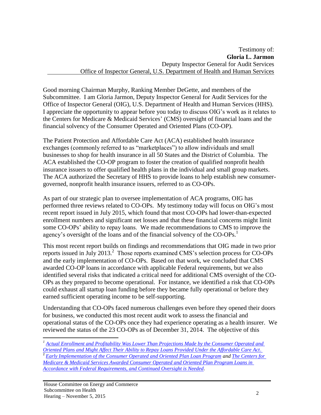Good morning Chairman Murphy, Ranking Member DeGette, and members of the Subcommittee. I am Gloria Jarmon, Deputy Inspector General for Audit Services for the Office of Inspector General (OIG), U.S. Department of Health and Human Services (HHS). I appreciate the opportunity to appear before you today to discuss OIG's work as it relates to the Centers for Medicare & Medicaid Services' (CMS) oversight of financial loans and the financial solvency of the Consumer Operated and Oriented Plans (CO-OP).

The Patient Protection and Affordable Care Act (ACA) established health insurance exchanges (commonly referred to as "marketplaces") to allow individuals and small businesses to shop for health insurance in all 50 States and the District of Columbia. The ACA established the CO-OP program to foster the creation of qualified nonprofit health insurance issuers to offer qualified health plans in the individual and small group markets. The ACA authorized the Secretary of HHS to provide loans to help establish new consumergoverned, nonprofit health insurance issuers, referred to as CO-OPs.

As part of our strategic plan to oversee implementation of ACA programs, OIG has performed three reviews related to CO-OPs. My testimony today will focus on OIG's most recent report issued in July 2015, which found that most CO-OPs had lower-than-expected enrollment numbers and significant net losses and that these financial concerns might limit some CO-OPs' ability to repay loans. We made recommendations to CMS to improve the agency's oversight of the loans and of the financial solvency of the CO-OPs.<sup>1</sup>

This most recent report builds on findings and recommendations that OIG made in two prior reports issued in July 2013.<sup>2</sup> Those reports examined CMS's selection process for CO-OPs and the early implementation of CO-OPs. Based on that work, we concluded that CMS awarded CO-OP loans in accordance with applicable Federal requirements, but we also identified several risks that indicated a critical need for additional CMS oversight of the CO-OPs as they prepared to become operational. For instance, we identified a risk that CO-OPs could exhaust all startup loan funding before they became fully operational or before they earned sufficient operating income to be self-supporting.

Understanding that CO-OPs faced numerous challenges even before they opened their doors for business, we conducted this most recent audit work to assess the financial and operational status of the CO-OPs once they had experience operating as a health insurer. We reviewed the status of the 23 CO-OPs as of December 31, 2014. The objective of this

*[Oriented Plans and Might Affect Their Ability to Repay Loans Provided Under the Affordable Care Act](http://www.oig.hhs.gov/oas/reports/region5/51400055.pdf)*. 2 *[Early Implementation of the Consumer Operated and Oriented Plan Loan Program](http://oig.hhs.gov/oei/reports/oei-01-12-00290.pdf) and [The Centers for](http://www.oig.hhs.gov/oas/reports/region5/51200043.pdf)  [Medicare & Medicaid Services Awarded Consumer Operated and Oriented Plan Program Loans in](http://www.oig.hhs.gov/oas/reports/region5/51200043.pdf)  [Accordance with Federal Requirements, and Continued Oversight is Needed](http://www.oig.hhs.gov/oas/reports/region5/51200043.pdf)*.

 $\overline{a}$ 

*<sup>1</sup> [Actual Enrollment and Profitability Was Lower Than Projections Made by the Consumer Operated and](http://www.oig.hhs.gov/oas/reports/region5/51400055.pdf)*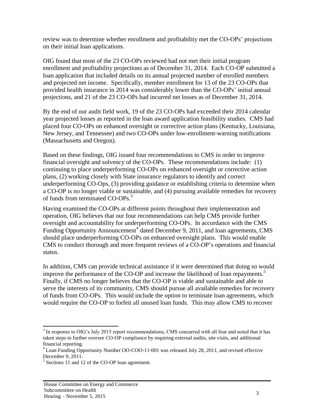review was to determine whether enrollment and profitability met the CO-OPs' projections on their initial loan applications.

OIG found that most of the 23 CO-OPs reviewed had not met their initial program enrollment and profitability projections as of December 31, 2014. Each CO-OP submitted a loan application that included details on its annual projected number of enrolled members and projected net income. Specifically, member enrollment for 13 of the 23 CO-OPs that provided health insurance in 2014 was considerably lower than the CO-OPs' initial annual projections, and 21 of the 23 CO-OPs had incurred net losses as of December 31, 2014.

By the end of our audit field work, 19 of the 23 CO-OPs had exceeded their 2014 calendar year projected losses as reported in the loan award application feasibility studies. CMS had placed four CO-OPs on enhanced oversight or corrective action plans (Kentucky, Louisiana, New Jersey, and Tennessee) and two CO-OPs under low-enrollment-warning notifications (Massachusetts and Oregon).

Based on these findings, OIG issued four recommendations to CMS in order to improve financial oversight and solvency of the CO-OPs. These recommendations include: (1) continuing to place underperforming CO-OPs on enhanced oversight or corrective action plans, (2) working closely with State insurance regulators to identify and correct underperforming CO-Ops, (3) providing guidance or establishing criteria to determine when a CO-OP is no longer viable or sustainable, and (4) pursuing available remedies for recovery of funds from terminated CO-OPs. 3

Having examined the CO-OPs at different points throughout their implementation and operation, OIG believes that our four recommendations can help CMS provide further oversight and accountability for underperforming CO-OPs. In accordance with the CMS Funding Opportunity Announcement<sup>4</sup> dated December 9, 2011, and loan agreements, CMS should place underperforming CO-OPs on enhanced oversight plans. This would enable CMS to conduct thorough and more frequent reviews of a CO-OP's operations and financial status.

In addition, CMS can provide technical assistance if it were determined that doing so would improve the performance of the CO-OP and increase the likelihood of loan repayments.<sup>5</sup> Finally, if CMS no longer believes that the CO-OP is viable and sustainable and able to serve the interests of its community, CMS should pursue all available remedies for recovery of funds from CO-OPs. This would include the option to terminate loan agreements, which would require the CO-OP to forfeit all unused loan funds. This may allow CMS to recover

 $\overline{a}$ 

<sup>&</sup>lt;sup>3</sup> In response to OIG's July 2015 report recommendations, CMS concurred with all four and noted that it has taken steps to further oversee CO-OP compliance by requiring external audits, site visits, and additional financial reporting*.* 

<sup>&</sup>lt;sup>4</sup> Loan Funding Opportunity Number OO-COO-11-001 was released July 28, 2011, and revised effective December 9, 2011.

<sup>&</sup>lt;sup>5</sup> Sections 11 and 12 of the CO-OP loan agreement.